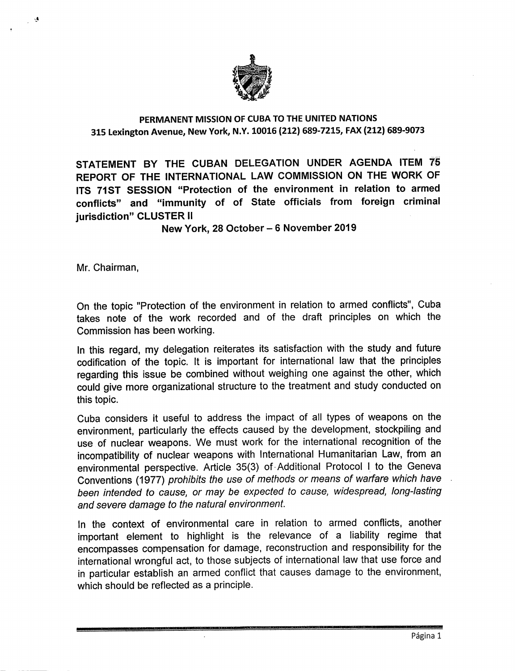

# PERMANENT MISSION OF CUBA TO THE UNITED NATIONS 315 Lexington Avenue, New York, N.Y. 10016 (212) 689-7215, FAX (212) 689-9073

STATEMENT BY THE CUBAN DELEGATION UNDER AGENDA ITEM 75 REPORT OF THE INTERNATIONAL LAW COMMISSION ON THE WORK OF ITS 71ST SESSION "Protection of the environment in relation to armed conflicts" and "immunity of of State officials from foreign criminal jurisdiction" CLUSTER II

New York, 28 October - 6 November 2019

Mr. Chairman,

 $\mathcal{L}^{\mathbf{d}}$ 

On the topic "Protection of the environment in relation to armed conflicts", Cuba takes note of the work recorded and of the draft principles on which the Commission has been working.

In this regard, my delegation reiterates its satisfaction with the study and future codification of the topic. It is important for international law that the principles regarding this issue be combined without weighing one against the other, which could give more organizational structure to the treatment and study conducted on this topic.

Cuba considers it useful to address the impact of all types of weapons on the environment, particularly the effects caused by the development, stockpiling and use of nuclear weapons. We must work for the international recognition of the incompatibility of nuclear weapons with International Humanitarian Law, from an environmental perspective. Article 35(3) of Additional Protocol I to the Geneva Conventions (1977) prohibits the use of methods or means of warfare which have been intended to cause, or may be expected to cause, widespread, long-lasting and severe damage to the natural environment.

In the context of environmental care in relation to armed conflicts, another important element to highlight is the relevance of a liability regime that encompasses compensation for damage, reconstruction and responsibility for the international wrongful act, to those subjects of international law that use force and in particular establish an armed conflict that causes damage to the environment, which should be reflected as a principle.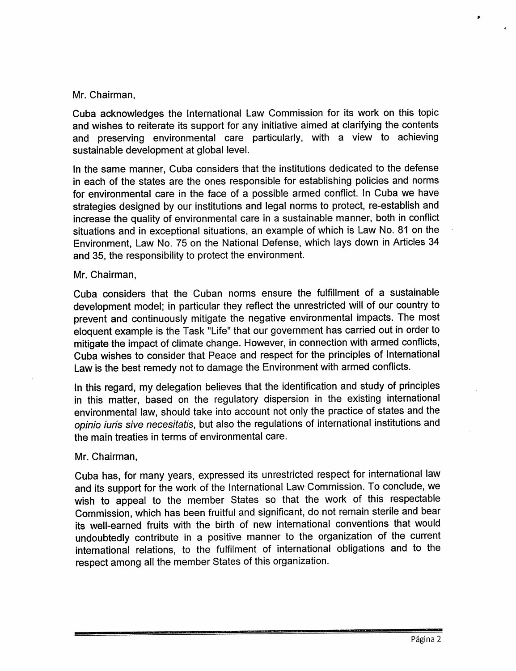## Mr. Chairman,

Cuba acknowledges the international Law Commission for its work on this topic and wishes to reiterate its support for any initiative aimed at clarifying the contents and preserving environmental care particularly, with a view to achieving sustainable development at global level.

In the same manner, Cuba considers that the institutions dedicated to the defense in each of the states are the ones responsible for establishing policies and norms for environmental care in the face of a possible armed conflict, in Cuba we have strategies designed by our institutions and legal norms to protect, re-establish and increase the quality of environmentai care in a sustainable manner, both in conflict situations and in exceptional situations, an example of which is Law No. 81 on the Environment, Law No. 75 on the National Defense, which iays down in Articles 34 and 35, the responsibility to protect the environment.

### Mr. Chairman,

Cuba considers that the Cuban norms ensure the fulfillment of a sustainable development model; in particular they reflect the unrestricted will of our country to prevent and continuously mitigate the negative environmental impacts. The most eloquent example is the Task "Life" that our government has carried out in order to mitigate the impact of climate change. However, in connection with armed conflicts, Cuba wishes to consider that Peace and respect for the principles of International Law is the best remedy not to damage the Environment with armed conflicts.

In this regard, my delegation believes that the identification and study of principles in this matter, based on the regulatory dispersion in the existing international environmental law, should take into account not only the practice of states and the opinio iuris sive necesitatis, but also the regulations of international institutions and the main treaties in terms of environmental care.

### Mr. Chairman,

Cuba has, for many years, expressed its unrestricted respect for international law and its support for the work of the International Law Commission. To conclude, we wish to appeal to the member States so that the work of this respectable Commission, which has been fruitful and significant, do not remain sterile and bear its well-earned fruits with the birth of new international conventions that would undoubtedly contribute in a positive manner to the organization of the current international relations, to the fulfilment of international obligations and to the respect among all the member States of this organization.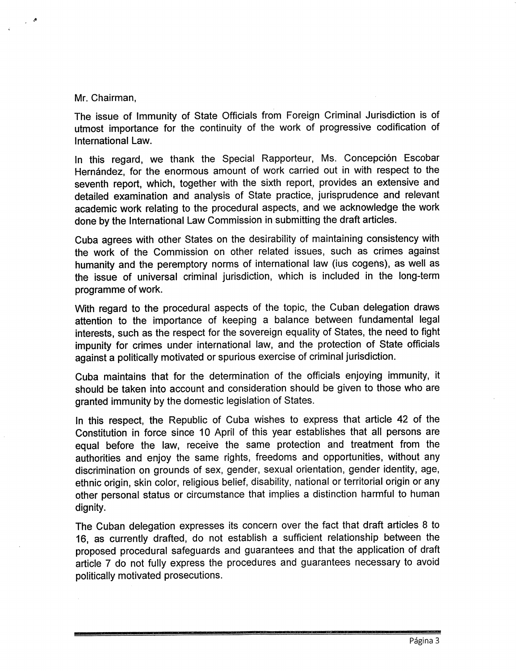#### Mr. Chairman,

The issue of immunity of State Officials from Foreign Criminai Jurisdiction is of utmost importance for the continuity of the work of progressive codification of Internationa! Law.

In this regard, we thank the Special Rapporteur, Ms. Concepción Escobar Hernández, for the enormous amount of work carried out in with respect to the seventh report, which, together with the sixth report, provides an extensive and detailed examination and analysis of State practice, jurisprudence and relevant academic work relating to the procedural aspects, and we acknowledge the work done by the International Law Commission in submitting the draft articles.

Cuba agrees with other States on the desirability of maintaining consistency with the work of the Commission on other related issues, such as crimes against humanity and the peremptory norms of international law (ius cogehs), as well as the issue of universal criminal jurisdiction, which is included in the long-term programme of work.

With regard to the procedural aspects of the topic, the Cuban delegation draws attention to the importance of keeping a balance between fundamental legal interests, such as the respect for the sovereign equaiity of States, the need to fight impunity for crimes under internationai law, and the protection of State officials against a politically motivated or spurious exercise of criminal jurisdiction.

Cuba maintains that for the determination of the officials enjoying immunity, it should be taken into account and consideration should be given to those who are granted immunity by the domestic legislation of States.

In this respect, the Republic of Cuba wishes to express that article 42 of the Constitution in force since 10 April of this year establishes that all persons are equal before the law, receive the same protection and treatment from the authorities and enjoy the same rights, freedoms and opportunities, without any discrimination on grounds of sex, gender, sexuai orientation, gender identity, age, ethnic origin, skin color, religious beiief, disability, national or territorial origin or any other personal status or circumstance that impiies a distinction harmful to human dignity.

The Cuban delegation expresses its concern over the fact that draft articles 8 to 16, as currently drafted, do not establish a sufficient relationship between the proposed procedural safeguards and guarantees and that the application of draft article 7 do not fully express the procedures and guarantees necessary to avoid politically motivated prosecutions.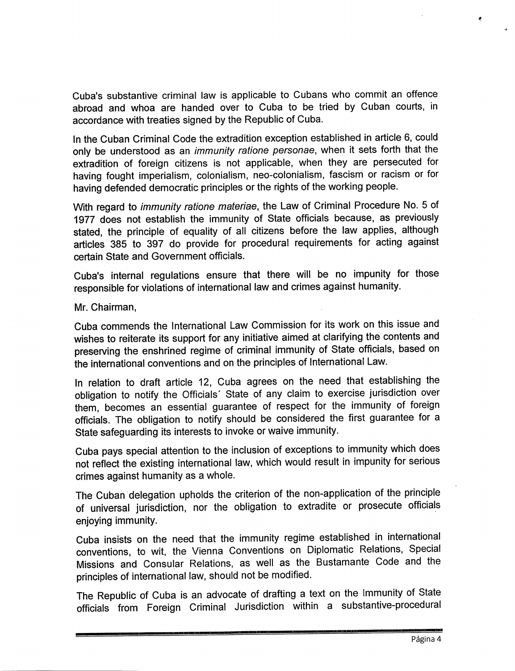Cuba's substantive criminal law is applicable to Cubans who commit an offence abroad and whoa are handed over to Cuba to be tried by Cuban courts, in accordance with treaties signed by the Republic of Cuba.

In the Cuban Criminal Code the extradition exception established in article 6, could only be understood as an *immunity ratione personae*, when it sets forth that the extradition of foreign citizens is not applicable, when they are persecuted for having fought imperialism, colonialism, neo-colonialism, fascism or racism or for having defended democratic principles or the rights of the working people.

With regard to immunity ratione materiae, the Law of Criminal Procedure No. 5 of 1977 does not establish the immunity of State officials because, as previously stated, the principle of equality of all citizens before the law applies, although articles 385 to 397 do provide for procedural requirements for acting against certain State and Government officials.

Cuba's internal regulations ensure that there will be no impunity for those responsible for violations of international law and crimes against humanity.

Mr. Chairman,

Cuba commends the International Law Commission for its work on this issue and wishes to reiterate its support for any initiative aimed at clarifying the contents and preserving the enshrined regime of criminal immunity of State officials, based on the international conventions and on the principles of International Law.

In relation to draft article 12, Cuba agrees on the need that establishing the obligation to notify the Officials' State of any claim to exercise jurisdiction over them, becomes an essential guarantee of respect for the immunity of foreign officials. The obligation to notify should be considered the first guarantee for a State safeguarding its interests to invoke or waive immunity.

Cuba pays special attention to the inclusion of exceptions to immunity which does not reflect the existing international law, which would result in impunity for serious crimes against humanity as a whole.

The Cuban delegation upholds the criterion of the non-application of the principle of universal jurisdiction, nor the obligation to extradite or prosecute officials enjoying immunity.

Cuba insists on the need that the immunity regime established in international conventions, to wit, the Vienna Conventions on Diplomatic Relations, Special Missions and Consular Relations, as well as the Bustamante Code and the principles of international law, should not be modified.

The Republic of Cuba is an advocate of drafting a text on the Immunity of State officials from Foreign Criminal Jurisdiction within a substantive-procedural